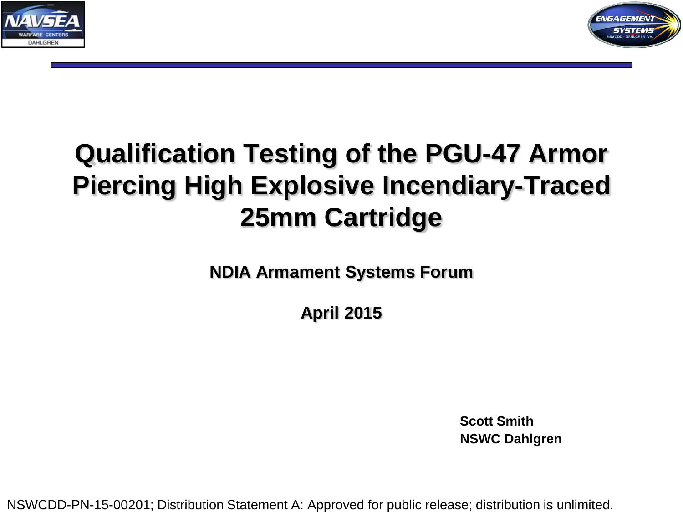



# **Qualification Testing of the PGU-47 Armor Piercing High Explosive Incendiary-Traced 25mm Cartridge**

**NDIA Armament Systems Forum**

**April 2015**

**Scott Smith NSWC Dahlgren**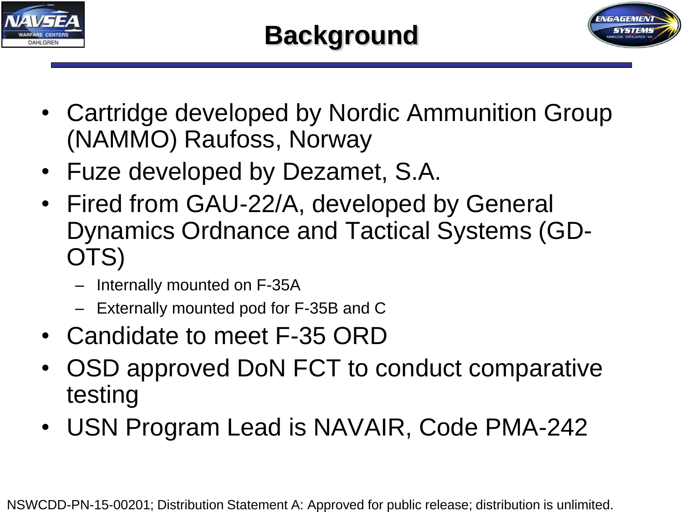



- Cartridge developed by Nordic Ammunition Group (NAMMO) Raufoss, Norway
- Fuze developed by Dezamet, S.A.
- Fired from GAU-22/A, developed by General Dynamics Ordnance and Tactical Systems (GD-OTS)
	- Internally mounted on F-35A
	- Externally mounted pod for F-35B and C
- Candidate to meet F-35 ORD
- OSD approved DoN FCT to conduct comparative testing
- USN Program Lead is NAVAIR, Code PMA-242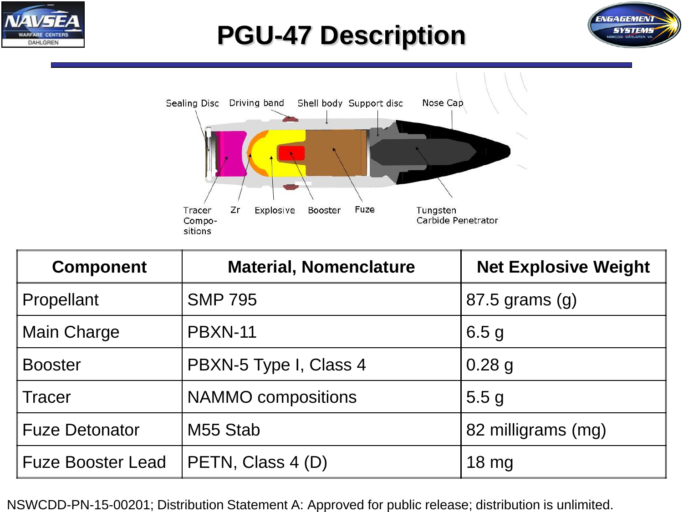

# **PGU-47 Description**





| <b>Component</b>         | <b>Material, Nomenclature</b> | <b>Net Explosive Weight</b> |
|--------------------------|-------------------------------|-----------------------------|
| Propellant               | <b>SMP 795</b>                | $87.5$ grams $(g)$          |
| <b>Main Charge</b>       | PBXN-11                       | 6.5 <sub>g</sub>            |
| <b>Booster</b>           | PBXN-5 Type I, Class 4        | $0.28$ g                    |
| Tracer                   | <b>NAMMO</b> compositions     | 5.5 <sub>g</sub>            |
| <b>Fuze Detonator</b>    | M55 Stab                      | 82 milligrams (mg)          |
| <b>Fuze Booster Lead</b> | PETN, Class 4 (D)             | $18 \text{ mg}$             |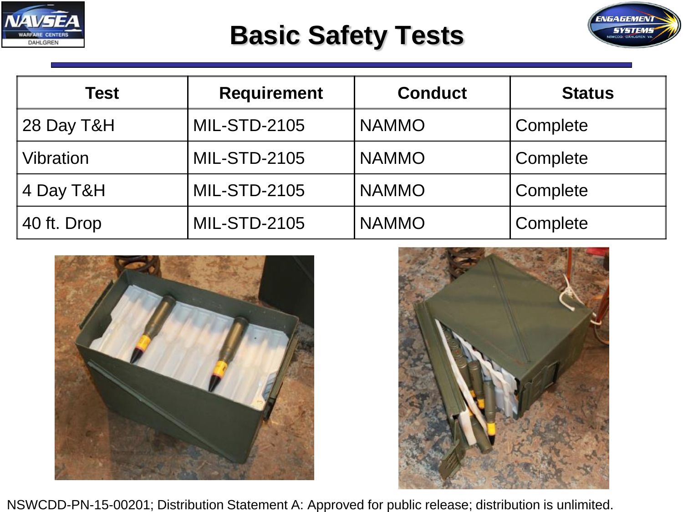

## **Basic Safety Tests**



| <b>Test</b>     | <b>Requirement</b>  | <b>Conduct</b> | <b>Status</b> |
|-----------------|---------------------|----------------|---------------|
| $\,$ 28 Day T&H | <b>MIL-STD-2105</b> | <b>NAMMO</b>   | Complete      |
| Vibration       | <b>MIL-STD-2105</b> | <b>NAMMO</b>   | Complete      |
| 4 Day T&H       | <b>MIL-STD-2105</b> | <b>NAMMO</b>   | Complete      |
| 40 ft. Drop     | <b>MIL-STD-2105</b> | <b>NAMMO</b>   | Complete      |



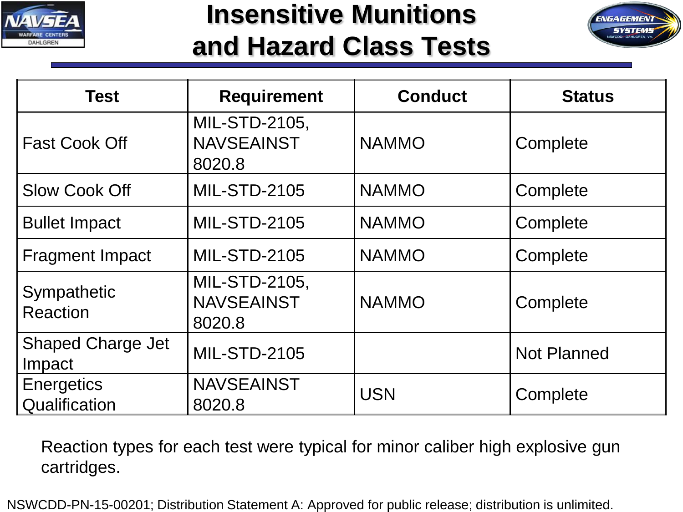

### **Insensitive Munitions and Hazard Class Tests**



| <b>Test</b>                        | <b>Requirement</b>                           | <b>Conduct</b> | <b>Status</b>      |
|------------------------------------|----------------------------------------------|----------------|--------------------|
| <b>Fast Cook Off</b>               | MIL-STD-2105,<br><b>NAVSEAINST</b><br>8020.8 | <b>NAMMO</b>   | Complete           |
| <b>Slow Cook Off</b>               | <b>MIL-STD-2105</b>                          | <b>NAMMO</b>   | Complete           |
| <b>Bullet Impact</b>               | <b>MIL-STD-2105</b>                          | <b>NAMMO</b>   | Complete           |
| <b>Fragment Impact</b>             | <b>MIL-STD-2105</b>                          | <b>NAMMO</b>   | Complete           |
| Sympathetic<br><b>Reaction</b>     | MIL-STD-2105,<br><b>NAVSEAINST</b><br>8020.8 | <b>NAMMO</b>   | Complete           |
| <b>Shaped Charge Jet</b><br>Impact | <b>MIL-STD-2105</b>                          |                | <b>Not Planned</b> |
| Energetics<br>Qualification        | <b>NAVSEAINST</b><br>8020.8                  | <b>USN</b>     | Complete           |

Reaction types for each test were typical for minor caliber high explosive gun cartridges.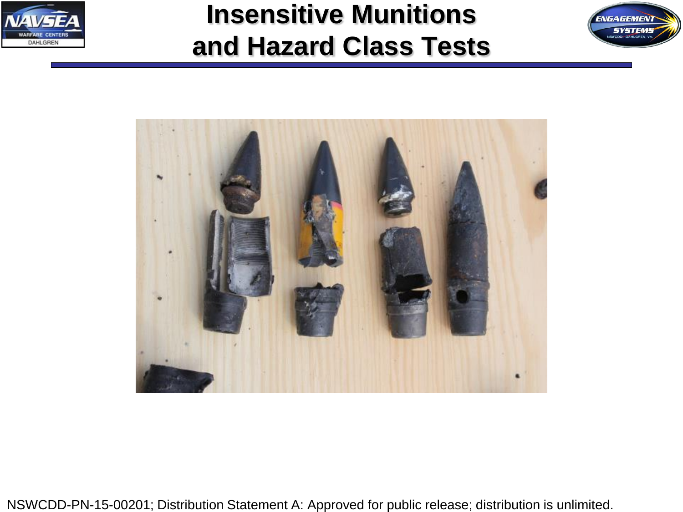

# **Insensitive Munitions and Hazard Class Tests**



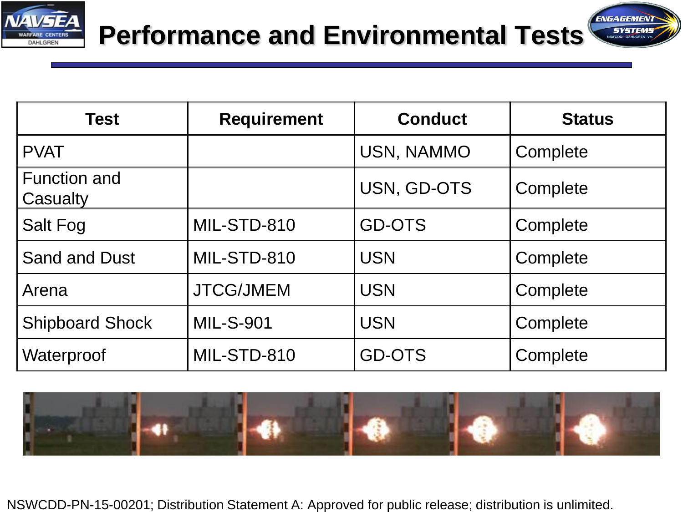

**SYSTEMS** 

| <b>Test</b>                     | <b>Requirement</b> | <b>Conduct</b> | <b>Status</b> |
|---------------------------------|--------------------|----------------|---------------|
| <b>PVAT</b>                     |                    | USN, NAMMO     | Complete      |
| <b>Function and</b><br>Casualty |                    | USN, GD-OTS    | Complete      |
| Salt Fog                        | MIL-STD-810        | <b>GD-OTS</b>  | Complete      |
| Sand and Dust                   | MIL-STD-810        | <b>USN</b>     | Complete      |
| Arena                           | <b>JTCG/JMEM</b>   | <b>USN</b>     | Complete      |
| <b>Shipboard Shock</b>          | <b>MIL-S-901</b>   | <b>USN</b>     | Complete      |
| Waterproof                      | MIL-STD-810        | <b>GD-OTS</b>  | Complete      |

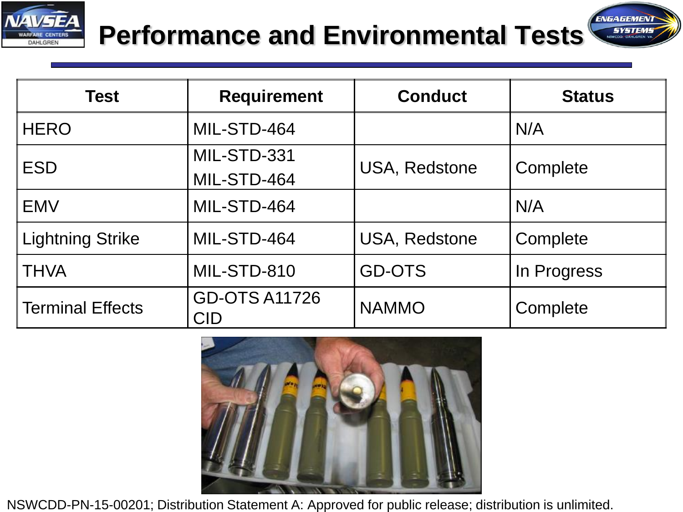

#### ENGAGEMENT **Performance and Environmental Tests**

**SYSTEMS** 

| <b>Test</b>      | <b>Requirement</b>                 | <b>Conduct</b>       | <b>Status</b> |
|------------------|------------------------------------|----------------------|---------------|
| <b>HERO</b>      | MIL-STD-464                        |                      | N/A           |
| <b>ESD</b>       | MIL-STD-331                        | <b>USA, Redstone</b> | Complete      |
|                  | MIL-STD-464                        |                      |               |
| <b>EMV</b>       | MIL-STD-464                        |                      | N/A           |
| Lightning Strike | MIL-STD-464                        | <b>USA, Redstone</b> | Complete      |
| ∥THVA            | MIL-STD-810                        | <b>GD-OTS</b>        | In Progress   |
| Terminal Effects | <b>GD-OTS A11726</b><br><b>CID</b> | <b>NAMMO</b>         | Complete      |

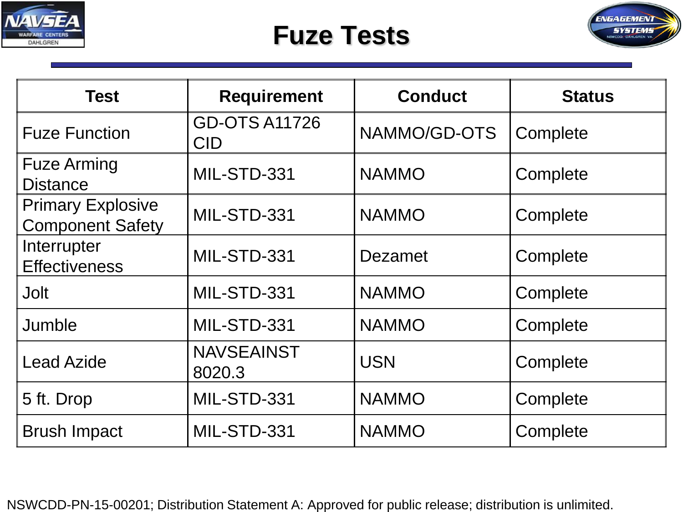

#### **Fuze Tests**



| <b>Test</b>                                         | <b>Requirement</b>          | <b>Conduct</b> | <b>Status</b> |
|-----------------------------------------------------|-----------------------------|----------------|---------------|
| <b>Fuze Function</b>                                | <b>GD-OTS A11726</b><br>CID | NAMMO/GD-OTS   | Complete      |
| <b>Fuze Arming</b><br><b>Distance</b>               | MIL-STD-331                 | <b>NAMMO</b>   | Complete      |
| <b>Primary Explosive</b><br><b>Component Safety</b> | MIL-STD-331                 | <b>NAMMO</b>   | Complete      |
| Interrupter<br><b>Effectiveness</b>                 | MIL-STD-331                 | Dezamet        | Complete      |
| <b>Jolt</b>                                         | MIL-STD-331                 | <b>NAMMO</b>   | Complete      |
| Jumble                                              | MIL-STD-331                 | <b>NAMMO</b>   | Complete      |
| <b>Lead Azide</b>                                   | <b>NAVSEAINST</b><br>8020.3 | <b>USN</b>     | Complete      |
| 5 ft. Drop                                          | MIL-STD-331                 | <b>NAMMO</b>   | Complete      |
| <b>Brush Impact</b>                                 | MIL-STD-331                 | <b>NAMMO</b>   | Complete      |